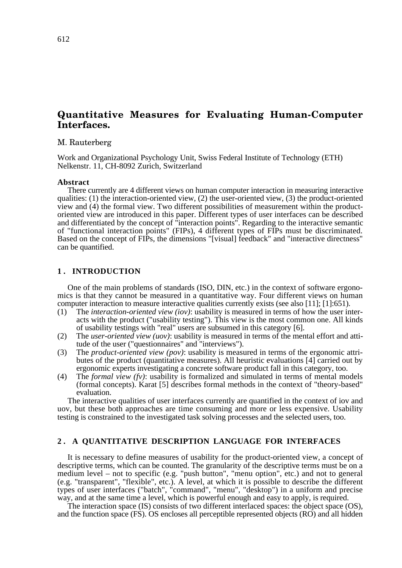# **Quantitative Measures for Evaluating Human-Computer Interfaces.**

#### M. Rauterberg

Work and Organizational Psychology Unit, Swiss Federal Institute of Technology (ETH) Nelkenstr. 11, CH-8092 Zurich, Switzerland

#### **Abstract**

There currently are 4 different views on human computer interaction in measuring interactive qualities: (1) the interaction-oriented view, (2) the user-oriented view, (3) the product-oriented view and (4) the formal view. Two different possibilities of measurement within the productoriented view are introduced in this paper. Different types of user interfaces can be described and differentiated by the concept of "interaction points". Regarding to the interactive semantic of "functional interaction points" (FIPs), 4 different types of FIPs must be discriminated. Based on the concept of FIPs, the dimensions "[visual] feedback" and "interactive directness" can be quantified.

## **1 . INTRODUCTION**

One of the main problems of standards (ISO, DIN, etc.) in the context of software ergonomics is that they cannot be measured in a quantitative way. Four different views on human computer interaction to measure interactive qualities currently exists (see also [11]; [1]:651).

- (1) The *interaction-oriented view (iov)*: usability is measured in terms of how the user interacts with the product ("usability testing"). This view is the most common one. All kinds of usability testings with "real" users are subsumed in this category [6].
- (2) The *user-oriented view (uov)*: usability is measured in terms of the mental effort and attitude of the user ("questionnaires" and "interviews").
- (3) The *product-oriented view (pov)*: usability is measured in terms of the ergonomic attributes of the product (quantitative measures). All heuristic evaluations [4] carried out by ergonomic experts investigating a concrete software product fall in this category, too.
- (4) The *formal view (fv)*: usability is formalized and simulated in terms of mental models (formal concepts). Karat [5] describes formal methods in the context of "theory-based" evaluation.

The interactive qualities of user interfaces currently are quantified in the context of iov and uov, but these both approaches are time consuming and more or less expensive. Usability testing is constrained to the investigated task solving processes and the selected users, too.

### **2 . A QUANTITATIVE DESCRIPTION LANGUAGE FOR INTERFACES**

It is necessary to define measures of usability for the product-oriented view, a concept of descriptive terms, which can be counted. The granularity of the descriptive terms must be on a medium level – not to specific (e.g. "push button", "menu option", etc.) and not to general (e.g. "transparent", "flexible", etc.). A level, at which it is possible to describe the different types of user interfaces ("batch", "command", "menu", "desktop") in a uniform and precise way, and at the same time a level, which is powerful enough and easy to apply, is required.

The interaction space (IS) consists of two different interlaced spaces: the object space (OS), and the function space (FS). OS encloses all perceptible represented objects (RO) and all hidden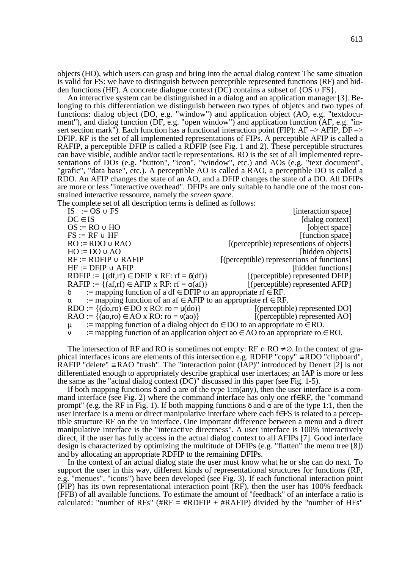objects (HO), which users can grasp and bring into the actual dialog context The same situation is valid for FS: we have to distinguish between perceptible represented functions (RF) and hidden functions (HF). A concrete dialogue context (DC) contains a subset of  $\{OS \cup FS\}$ .

An interactive system can be distinguished in a dialog and an application manager [3]. Belonging to this differentiation we distinguish between two types of objetcs and two types of functions: dialog object (DO, e.g. "window") and application object (AO, e.g. "textdocument"), and dialog function (DF, e.g. "open window") and application function (AF, e.g. "insert section mark"). Each function has a functional interaction point (FIP): AF –> AFIP, DF –> DFIP. RF is the set of all implemented representations of FIPs. A perceptible AFIP is called a RAFIP, a perceptible DFIP is called a RDFIP (see Fig. 1 and 2). These perceptible structures can have visible, audible and/or tactile representations. RO is the set of all implemented representations of DOs (e.g. "button", "icon", "window", etc.) and AOs (e.g. "text document", "grafic", "data base", etc.). A perceptible AO is called a RAO, a perceptible DO is called a RDO. An AFIP changes the state of an AO, and a DFIP changes the state of a DO. All DFIPs are more or less "interactive overhead". DFIPs are only suitable to handle one of the most constrained interactive ressource, namely the *screen space*.

The complete set of all description terms is defined as follows:

 $IS := OS \cup FS$  [interaction space]  $DC \in IS$  [dialog context]  $OS := RO \cup HO$  [object space]  $\text{FS} := \text{RF} \cup \text{HF}$  [function space]  $RO := RDO \cup RAO$  [(perceptible) representions of objects]  $HO := DO \cup AO$  [hidden objects]  $RF := RDFIP \cup RAFIP$  [(perceptible) representions of functions]  $HF := DFTP \cup AFIP$  [hidden functions] RDFIP :=  $\{(df, rf) \in DFTP \times RF: rf = \delta(df)\}$  [(perceptible) represented DFIP] RAFIP :=  $\{(af, rf) \in AFIP \times RF: rf = \alpha(af)\}\$  [(perceptible) represented AFIP]  $\delta$  := mapping function of a df  $\in$  DFIP to an appropriate rf  $\in$  RF.  $\alpha$  := mapping function of an af  $\in$  AFIP to an appropriate rf  $\in$  RF. RDO :=  $\{(do, ro) \in DO \times RO: ro = \mu(do)\}\$  [(perceptible) represented DO]  $RAO := \{(a \circ, \text{ro}) \in AO \times RO: \text{ro} = \nu(a \circ) \}$  [(perceptible) represented AO] := mapping function of a dialog object do  $\in$  DO to an appropriate ro  $\in$  RO.  $\mathcal{L}$  is mapping function of an application object ao  $\in$  AO to an appropriate ro  $\in$  RO.

The intersection of RF and RO is sometimes not empty:  $RF \cap RO \neq \emptyset$ . In the context of graphical interfaces icons are elements of this intersection e.g. RDFIP "copy" ≡ RDO "clipboard", RAFIP "delete"  $\equiv$  RAO "trash". The "interaction point (IAP)" introduced by Denert [2] is not differentiated enough to appropriately describe graphical user interfaces; an IAP is more or less the same as the "actual dialog context (DC)" discussed in this paper (see Fig. 1-5).

If both mapping functions  $\delta$  and  $\alpha$  are of the type 1:m(any), then the user interface is a command interface (see Fig. 2) where the command interface has only one rf∈RF, the "command prompt" (e.g. the RF in Fig. 1). If both mapping functions δ and  $\alpha$  are of the type 1:1, then the user interface is a menu or direct manipulative interface where each f∈FS is related to a perceptible structure RF on the i/o interface. One important difference between a menu and a direct manipulative interface is the "interactive directness". A user interface is 100% interactively direct, if the user has fully access in the actual dialog context to all AFIPs [7]. Good interface design is characterized by optimizing the multitude of DFIPs (e.g. "flatten" the menu tree [8]) and by allocating an appropriate RDFIP to the remaining DFIPs.

In the context of an actual dialog state the user must know what he or she can do next. To support the user in this way, different kinds of representational structures for functions (RF, e.g. "menues", "icons") have been developed (see Fig. 3). If each functional interaction point (FIP) has its own representational interaction point (RF), then the user has 100% feedback (FFB) of all available functions. To estimate the amount of "feedback" of an interface a ratio is calculated: "number of RFs" ( $\#RF = \#RDFIP + \#RAFIP$ ) divided by the "number of HFs"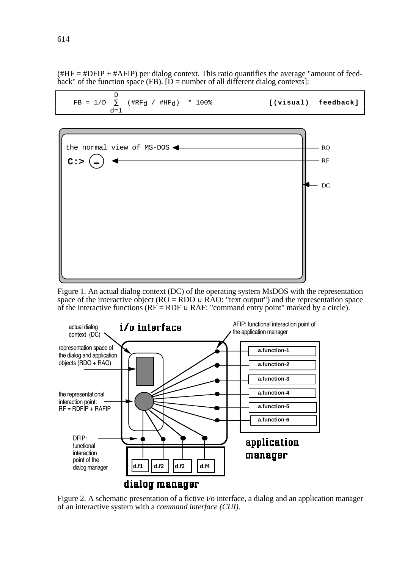$(HHF = #DFIP + #AFIP)$  per dialog context. This ratio quantifies the average "amount of feedback" of the function space (FB).  $[D =$  number of all different dialog contexts]:



Figure 1. An actual dialog context (DC) of the operating system MsDOS with the representation space of the interactive object ( $RO = RDO \cup RAO$ : "text output") and the representation space of the interactive functions ( $RF = RDF \cup RAF$ : "command entry point" marked by a circle).



Figure 2. A schematic presentation of a fictive i/o interface, a dialog and an application manager of an interactive system with a *command interface (CUI)*.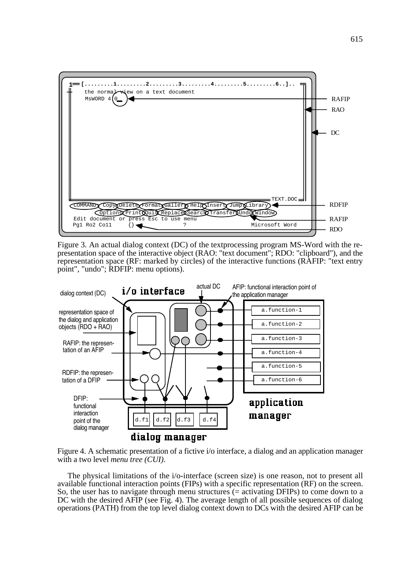

Figure 3. An actual dialog context (DC) of the textprocessing program MS-Word with the representation space of the interactive object (RAO: "text document"; RDO: "clipboard"), and the representation space (RF: marked by circles) of the interactive functions (RAFIP: "text entry point", "undo"; RDFIP: menu options).



Figure 4. A schematic presentation of a fictive i/o interface, a dialog and an application manager with a two level *menu tree (CUI)*.

The physical limitations of the i/o-interface (screen size) is one reason, not to present all available functional interaction points (FIPs) with a specific representation (RF) on the screen. So, the user has to navigate through menu structures  $(=$  activating DFIPs) to come down to a DC with the desired AFIP (see Fig. 4). The average length of all possible sequences of dialog operations (PATH) from the top level dialog context down to DCs with the desired AFIP can be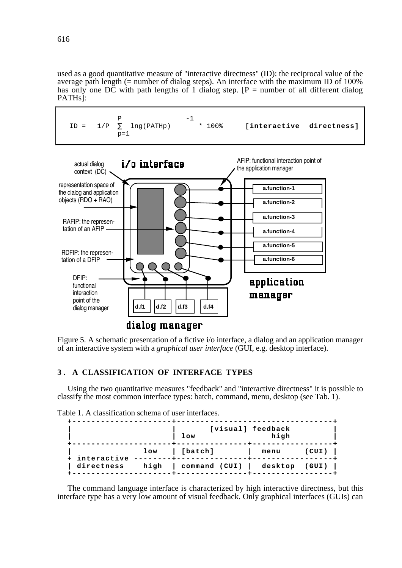used as a good quantitative measure of "interactive directness" (ID): the reciprocal value of the average path length  $(=$  number of dialog steps). An interface with the maximum ID of 100% has only one DC with path lengths of 1 dialog step.  $[P =$  number of all different dialog PATHs]:



Figure 5. A schematic presentation of a fictive i/o interface, a dialog and an application manager of an interactive system with a *graphical user interface* (GUI, e.g. desktop interface).

# **3 . A CLASSIFICATION OF INTERFACE TYPES**

dialog manager

Using the two quantitative measures "feedback" and "interactive directness" it is possible to classify the most common interface types: batch, command, menu, desktop (see Tab. 1).

| Table 1. A classification schema of user interfaces. |  |
|------------------------------------------------------|--|
|------------------------------------------------------|--|

|                                      | low                                  | [visual] feedback<br>high |       |
|--------------------------------------|--------------------------------------|---------------------------|-------|
| + interactive --------<br>directness | low [batch]                          | menu                      | (CUI) |
|                                      | high   command (CUI)   desktop (GUI) |                           |       |

The command language interface is characterized by high interactive directness, but this interface type has a very low amount of visual feedback. Only graphical interfaces (GUIs) can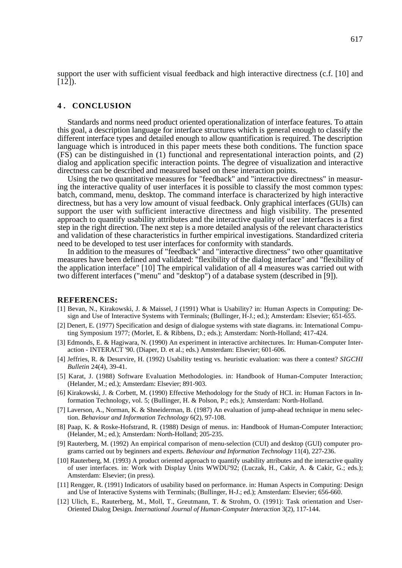support the user with sufficient visual feedback and high interactive directness (c.f. [10] and  $[12]$ ).

#### **4 . CONCLUSION**

Standards and norms need product oriented operationalization of interface features. To attain this goal, a description language for interface structures which is general enough to classify the different interface types and detailed enough to allow quantification is required. The description language which is introduced in this paper meets these both conditions. The function space (FS) can be distinguished in (1) functional and representational interaction points, and (2) dialog and application specific interaction points. The degree of visualization and interactive directness can be described and measured based on these interaction points.

Using the two quantitative measures for "feedback" and "interactive directness" in measuring the interactive quality of user interfaces it is possible to classify the most common types: batch, command, menu, desktop. The command interface is characterized by high interactive directness, but has a very low amount of visual feedback. Only graphical interfaces (GUIs) can support the user with sufficient interactive directness and high visibility. The presented approach to quantify usability attributes and the interactive quality of user interfaces is a first step in the right direction. The next step is a more detailed analysis of the relevant characteristics and validation of these characteristics in further empirical investigations. Standardized criteria need to be developed to test user interfaces for conformity with standards.

In addition to the measures of "feedback" and "interactive directness" two other quantitative measures have been defined and validated: "flexibility of the dialog interface" and "flexibility of the application interface" [10] The empirical validation of all 4 measures was carried out with two different interfaces ("menu" and "desktop") of a database system (described in [9]).

#### **REFERENCES:**

- [1] Bevan, N., Kirakowski, J. & Maissel, J (1991) What is Usability? in: Human Aspects in Computing: Design and Use of Interactive Systems with Terminals; (Bullinger, H-J.; ed.); Amsterdam: Elsevier; 651-655.
- [2] Denert, E. (1977) Specification and design of dialogue systems with state diagrams. in: International Computing Symposium 1977; (Morlet, E. & Ribbens, D.; eds.); Amsterdam: North-Holland; 417-424.
- [3] Edmonds, E. & Hagiwara, N. (1990) An experiment in interactive architectures. In: Human-Computer Interaction - INTERACT '90. (Diaper, D. et al.; eds.) Amsterdam: Elsevier; 601-606.
- [4] Jeffries, R. & Desurvire, H. (1992) Usability testing vs. heuristic evaluation: was there a contest? *SIGCHI Bulletin* 24(4), 39-41.
- [5] Karat, J. (1988) Software Evaluation Methodologies. in: Handbook of Human-Computer Interaction; (Helander, M.; ed.); Amsterdam: Elsevier; 891-903.
- [6] Kirakowski, J. & Corbett, M. (1990) Effective Methodology for the Study of HCI. in: Human Factors in Information Technology, vol. 5; (Bullinger, H. & Polson, P.; eds.); Amsterdam: North-Holland.
- [7] Laverson, A., Norman, K. & Shneiderman, B. (1987) An evaluation of jump-ahead technique in menu selection. *Behaviour and Information Technology* 6(2), 97-108.
- [8] Paap, K. & Roske-Hofstrand, R. (1988) Design of menus. in: Handbook of Human-Computer Interaction; (Helander, M.; ed.); Amsterdam: North-Holland; 205-235.
- [9] Rauterberg, M. (1992) An empirical comparison of menu-selection (CUI) and desktop (GUI) computer programs carried out by beginners and experts. *Behaviour and Information Technology* 11(4), 227-236.
- [10] Rauterberg, M. (1993) A product oriented approach to quantify usability attributes and the interactive quality of user interfaces. in: Work with Display Units WWDU'92; (Luczak, H., Cakir, A. & Cakir, G.; eds.); Amsterdam: Elsevier; (in press).
- [11] Rengger, R. (1991) Indicators of usability based on performance. in: Human Aspects in Computing: Design and Use of Interactive Systems with Terminals; (Bullinger, H-J.; ed.); Amsterdam: Elsevier; 656-660.
- [12] Ulich, E., Rauterberg, M., Moll, T., Greutmann, T. & Strohm, O. (1991): Task orientation and User-Oriented Dialog Design. *International Journal of Human-Computer Interaction* 3(2), 117-144.